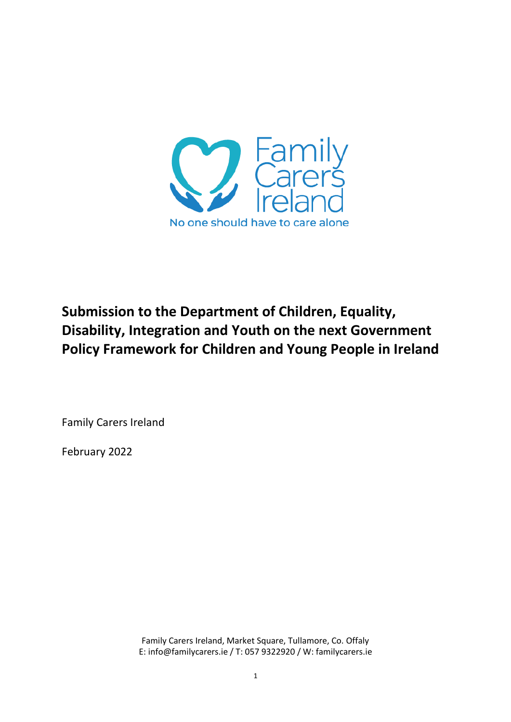

# **Submission to the Department of Children, Equality, Disability, Integration and Youth on the next Government Policy Framework for Children and Young People in Ireland**

Family Carers Ireland

February 2022

Family Carers Ireland, Market Square, Tullamore, Co. Offaly E: info@familycarers.ie / T: 057 9322920 / W: familycarers.ie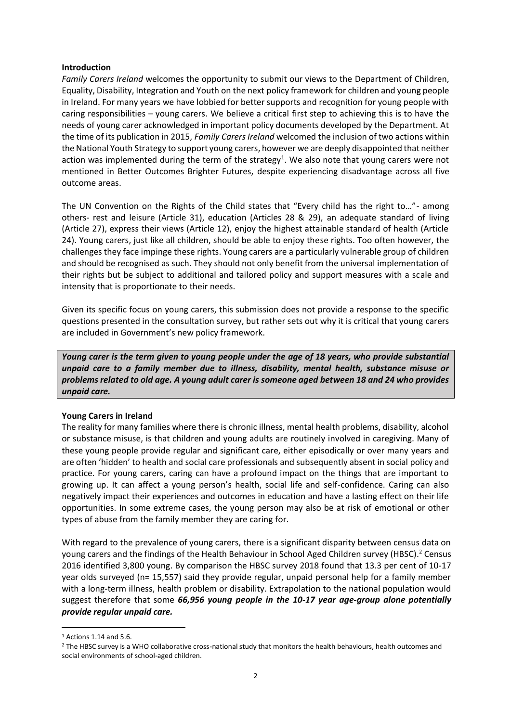#### **Introduction**

*Family Carers Ireland* welcomes the opportunity to submit our views to the Department of Children, Equality, Disability, Integration and Youth on the next policy framework for children and young people in Ireland. For many years we have lobbied for better supports and recognition for young people with caring responsibilities – young carers. We believe a critical first step to achieving this is to have the needs of young carer acknowledged in important policy documents developed by the Department. At the time of its publication in 2015, *Family Carers Ireland* welcomed the inclusion of two actions within the National Youth Strategy to support young carers, however we are deeply disappointed that neither action was implemented during the term of the strategy<sup>1</sup>. We also note that young carers were not mentioned in Better Outcomes Brighter Futures, despite experiencing disadvantage across all five outcome areas.

The UN Convention on the Rights of the Child states that "Every child has the right to…"- among others- rest and leisure (Article 31), education (Articles 28 & 29), an adequate standard of living (Article 27), express their views (Article 12), enjoy the highest attainable standard of health (Article 24). Young carers, just like all children, should be able to enjoy these rights. Too often however, the challenges they face impinge these rights. Young carers are a particularly vulnerable group of children and should be recognised as such. They should not only benefit from the universal implementation of their rights but be subject to additional and tailored policy and support measures with a scale and intensity that is proportionate to their needs.

Given its specific focus on young carers, this submission does not provide a response to the specific questions presented in the consultation survey, but rather sets out why it is critical that young carers are included in Government's new policy framework.

*Young carer is the term given to young people under the age of 18 years, who provide substantial unpaid care to a family member due to illness, disability, mental health, substance misuse or problems related to old age. A young adult carer is someone aged between 18 and 24 who provides unpaid care.*

# **Young Carers in Ireland**

The reality for many families where there is chronic illness, mental health problems, disability, alcohol or substance misuse, is that children and young adults are routinely involved in caregiving. Many of these young people provide regular and significant care, either episodically or over many years and are often 'hidden' to health and social care professionals and subsequently absent in social policy and practice. For young carers, caring can have a profound impact on the things that are important to growing up. It can affect a young person's health, social life and self-confidence. Caring can also negatively impact their experiences and outcomes in education and have a lasting effect on their life opportunities. In some extreme cases, the young person may also be at risk of emotional or other types of abuse from the family member they are caring for.

With regard to the prevalence of young carers, there is a significant disparity between census data on young carers and the findings of the Health Behaviour in School Aged Children survey (HBSC).<sup>2</sup> Census 2016 identified 3,800 young. By comparison the HBSC survey 2018 found that 13.3 per cent of 10-17 year olds surveyed (n= 15,557) said they provide regular, unpaid personal help for a family member with a long-term illness, health problem or disability. Extrapolation to the national population would suggest therefore that some *66,956 young people in the 10-17 year age-group alone potentially provide regular unpaid care.*

1

 $1$  Actions 1.14 and 5.6.

<sup>&</sup>lt;sup>2</sup> The HBSC survey is a WHO collaborative cross-national study that monitors the health behaviours, health outcomes and social environments of school-aged children.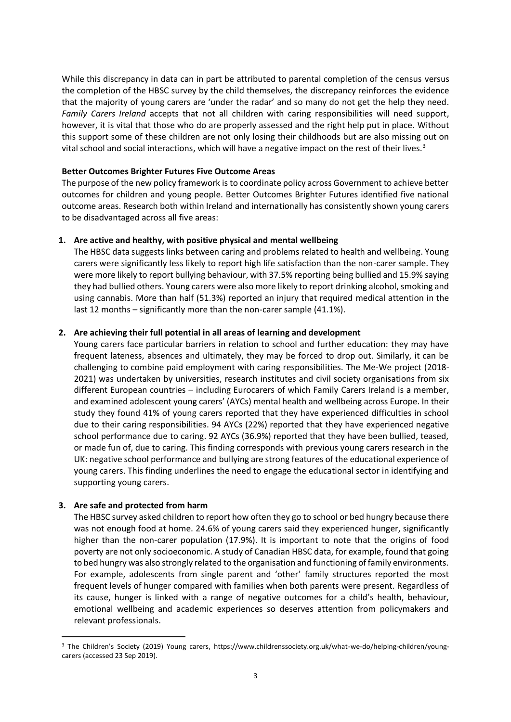While this discrepancy in data can in part be attributed to parental completion of the census versus the completion of the HBSC survey by the child themselves, the discrepancy reinforces the evidence that the majority of young carers are 'under the radar' and so many do not get the help they need. *Family Carers Ireland* accepts that not all children with caring responsibilities will need support, however, it is vital that those who do are properly assessed and the right help put in place. Without this support some of these children are not only losing their childhoods but are also missing out on vital school and social interactions, which will have a negative impact on the rest of their lives.<sup>3</sup>

# **Better Outcomes Brighter Futures Five Outcome Areas**

The purpose of the new policy framework is to coordinate policy across Government to achieve better outcomes for children and young people. Better Outcomes Brighter Futures identified five national outcome areas. Research both within Ireland and internationally has consistently shown young carers to be disadvantaged across all five areas:

# **1. Are active and healthy, with positive physical and mental wellbeing**

The HBSC data suggests links between caring and problems related to health and wellbeing. Young carers were significantly less likely to report high life satisfaction than the non-carer sample. They were more likely to report bullying behaviour, with 37.5% reporting being bullied and 15.9% saying they had bullied others. Young carers were also more likely to report drinking alcohol, smoking and using cannabis. More than half (51.3%) reported an injury that required medical attention in the last 12 months – significantly more than the non-carer sample (41.1%).

#### **2. Are achieving their full potential in all areas of learning and development**

Young carers face particular barriers in relation to school and further education: they may have frequent lateness, absences and ultimately, they may be forced to drop out. Similarly, it can be challenging to combine paid employment with caring responsibilities. The Me-We project (2018- 2021) was undertaken by universities, research institutes and civil society organisations from six different European countries – including Eurocarers of which Family Carers Ireland is a member, and examined adolescent young carers' (AYCs) mental health and wellbeing across Europe. In their study they found 41% of young carers reported that they have experienced difficulties in school due to their caring responsibilities. 94 AYCs (22%) reported that they have experienced negative school performance due to caring. 92 AYCs (36.9%) reported that they have been bullied, teased, or made fun of, due to caring. This finding corresponds with previous young carers research in the UK: negative school performance and bullying are strong features of the educational experience of young carers. This finding underlines the need to engage the educational sector in identifying and supporting young carers.

#### **3. Are safe and protected from harm**

1

The HBSC survey asked children to report how often they go to school or bed hungry because there was not enough food at home. 24.6% of young carers said they experienced hunger, significantly higher than the non-carer population (17.9%). It is important to note that the origins of food poverty are not only socioeconomic. A study of Canadian HBSC data, for example, found that going to bed hungry was also strongly related to the organisation and functioning of family environments. For example, adolescents from single parent and 'other' family structures reported the most frequent levels of hunger compared with families when both parents were present. Regardless of its cause, hunger is linked with a range of negative outcomes for a child's health, behaviour, emotional wellbeing and academic experiences so deserves attention from policymakers and relevant professionals.

<sup>3</sup> The Children's Society (2019) Young carers, https://www.childrenssociety.org.uk/what-we-do/helping-children/youngcarers (accessed 23 Sep 2019).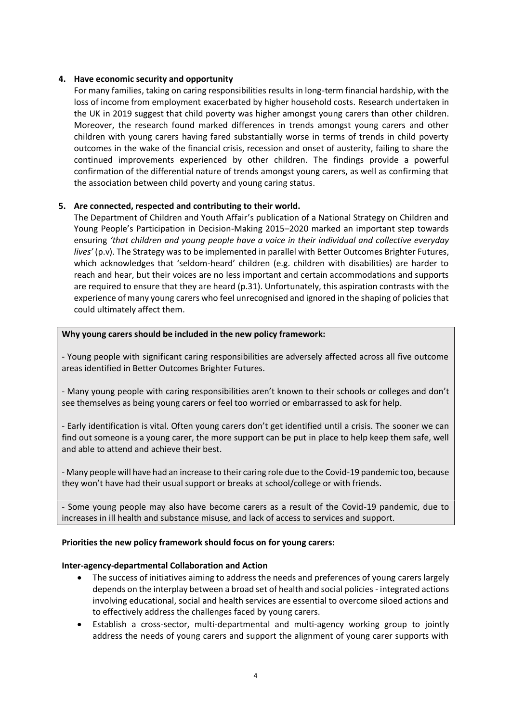# **4. Have economic security and opportunity**

For many families, taking on caring responsibilities results in long-term financial hardship, with the loss of income from employment exacerbated by higher household costs. Research undertaken in the UK in 2019 suggest that child poverty was higher amongst young carers than other children. Moreover, the research found marked differences in trends amongst young carers and other children with young carers having fared substantially worse in terms of trends in child poverty outcomes in the wake of the financial crisis, recession and onset of austerity, failing to share the continued improvements experienced by other children. The findings provide a powerful confirmation of the differential nature of trends amongst young carers, as well as confirming that the association between child poverty and young caring status.

# **5. Are connected, respected and contributing to their world.**

The Department of Children and Youth Affair's publication of a National Strategy on Children and Young People's Participation in Decision-Making 2015–2020 marked an important step towards ensuring *'that children and young people have a voice in their individual and collective everyday lives'* (p.v). The Strategy was to be implemented in parallel with Better Outcomes Brighter Futures, which acknowledges that 'seldom-heard' children (e.g. children with disabilities) are harder to reach and hear, but their voices are no less important and certain accommodations and supports are required to ensure that they are heard (p.31). Unfortunately, this aspiration contrasts with the experience of many young carers who feel unrecognised and ignored in the shaping of policies that could ultimately affect them.

# **Why young carers should be included in the new policy framework:**

- Young people with significant caring responsibilities are adversely affected across all five outcome areas identified in Better Outcomes Brighter Futures.

- Many young people with caring responsibilities aren't known to their schools or colleges and don't see themselves as being young carers or feel too worried or embarrassed to ask for help.

- Early identification is vital. Often young carers don't get identified until a crisis. The sooner we can find out someone is a young carer, the more support can be put in place to help keep them safe, well and able to attend and achieve their best.

- Many people will have had an increase to their caring role due to the Covid-19 pandemic too, because they won't have had their usual support or breaks at school/college or with friends.

- Some young people may also have become carers as a result of the Covid-19 pandemic, due to increases in ill health and substance misuse, and lack of access to services and support.

# **Priorities the new policy framework should focus on for young carers:**

# **Inter-agency-departmental Collaboration and Action**

- The success of initiatives aiming to address the needs and preferences of young carers largely depends on the interplay between a broad set of health and social policies - integrated actions involving educational, social and health services are essential to overcome siloed actions and to effectively address the challenges faced by young carers.
- Establish a cross-sector, multi-departmental and multi-agency working group to jointly address the needs of young carers and support the alignment of young carer supports with